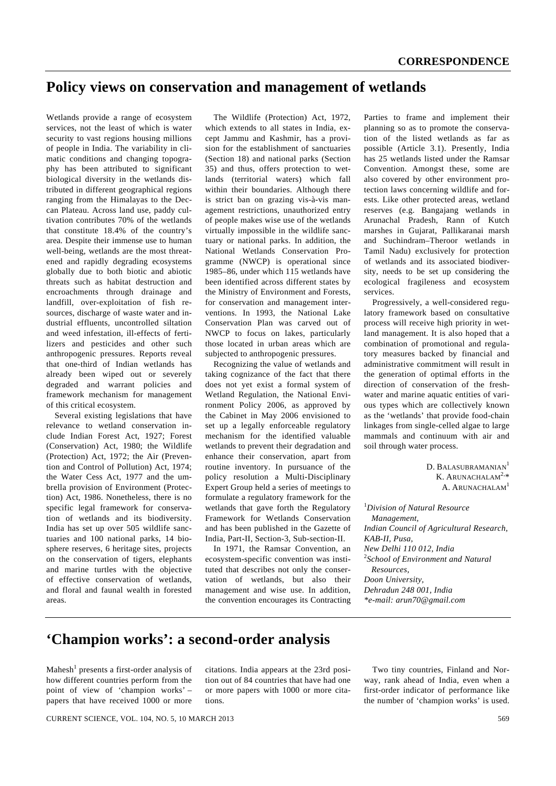## **Policy views on conservation and management of wetlands**

Wetlands provide a range of ecosystem services, not the least of which is water security to vast regions housing millions of people in India. The variability in climatic conditions and changing topography has been attributed to significant biological diversity in the wetlands distributed in different geographical regions ranging from the Himalayas to the Deccan Plateau. Across land use, paddy cultivation contributes 70% of the wetlands that constitute 18.4% of the country's area. Despite their immense use to human well-being, wetlands are the most threatened and rapidly degrading ecosystems globally due to both biotic and abiotic threats such as habitat destruction and encroachments through drainage and landfill, over-exploitation of fish resources, discharge of waste water and industrial effluents, uncontrolled siltation and weed infestation, ill-effects of fertilizers and pesticides and other such anthropogenic pressures. Reports reveal that one-third of Indian wetlands has already been wiped out or severely degraded and warrant policies and framework mechanism for management of this critical ecosystem.

 Several existing legislations that have relevance to wetland conservation include Indian Forest Act, 1927; Forest (Conservation) Act, 1980; the Wildlife (Protection) Act, 1972; the Air (Prevention and Control of Pollution) Act, 1974; the Water Cess Act, 1977 and the umbrella provision of Environment (Protection) Act, 1986. Nonetheless, there is no specific legal framework for conservation of wetlands and its biodiversity. India has set up over 505 wildlife sanctuaries and 100 national parks, 14 biosphere reserves, 6 heritage sites, projects on the conservation of tigers, elephants and marine turtles with the objective of effective conservation of wetlands, and floral and faunal wealth in forested areas.

 The Wildlife (Protection) Act, 1972, which extends to all states in India, except Jammu and Kashmir, has a provision for the establishment of sanctuaries (Section 18) and national parks (Section 35) and thus, offers protection to wetlands (territorial waters) which fall within their boundaries. Although there is strict ban on grazing vis-à-vis management restrictions, unauthorized entry of people makes wise use of the wetlands virtually impossible in the wildlife sanctuary or national parks. In addition, the National Wetlands Conservation Programme (NWCP) is operational since 1985–86, under which 115 wetlands have been identified across different states by the Ministry of Environment and Forests, for conservation and management interventions. In 1993, the National Lake Conservation Plan was carved out of NWCP to focus on lakes, particularly those located in urban areas which are subjected to anthropogenic pressures.

 Recognizing the value of wetlands and taking cognizance of the fact that there does not yet exist a formal system of Wetland Regulation, the National Environment Policy 2006, as approved by the Cabinet in May 2006 envisioned to set up a legally enforceable regulatory mechanism for the identified valuable wetlands to prevent their degradation and enhance their conservation, apart from routine inventory. In pursuance of the policy resolution a Multi-Disciplinary Expert Group held a series of meetings to formulate a regulatory framework for the wetlands that gave forth the Regulatory Framework for Wetlands Conservation and has been published in the Gazette of India, Part-II, Section-3, Sub-section-II.

 In 1971, the Ramsar Convention, an ecosystem-specific convention was instituted that describes not only the conservation of wetlands, but also their management and wise use. In addition, the convention encourages its Contracting Parties to frame and implement their planning so as to promote the conservation of the listed wetlands as far as possible (Article 3.1). Presently, India has 25 wetlands listed under the Ramsar Convention. Amongst these, some are also covered by other environment protection laws concerning wildlife and forests. Like other protected areas, wetland reserves (e.g. Bangajang wetlands in Arunachal Pradesh, Rann of Kutch marshes in Gujarat, Pallikaranai marsh and Suchindram–Theroor wetlands in Tamil Nadu) exclusively for protection of wetlands and its associated biodiversity, needs to be set up considering the ecological fragileness and ecosystem services.

 Progressively, a well-considered regulatory framework based on consultative process will receive high priority in wetland management. It is also hoped that a combination of promotional and regulatory measures backed by financial and administrative commitment will result in the generation of optimal efforts in the direction of conservation of the freshwater and marine aquatic entities of various types which are collectively known as the 'wetlands' that provide food-chain linkages from single-celled algae to large mammals and continuum with air and soil through water process.

> D. BALASUBRAMANIAN<sup>1</sup> K. ARUNACHALAM $2.*$ A. ARUNACHALAM<sup>1</sup>

1 *Division of Natural Resource Management, Indian Council of Agricultural Research, KAB-II, Pusa, New Delhi 110 012, India*  2 *School of Environment and Natural Resources, Doon University, Dehradun 248 001, India \*e-mail: arun70@gmail.com* 

## **'Champion works': a second-order analysis**

Mahesh<sup>1</sup> presents a first-order analysis of how different countries perform from the point of view of 'champion works' – papers that have received 1000 or more

citations. India appears at the 23rd position out of 84 countries that have had one or more papers with 1000 or more citations.

 Two tiny countries, Finland and Norway, rank ahead of India, even when a first-order indicator of performance like the number of 'champion works' is used.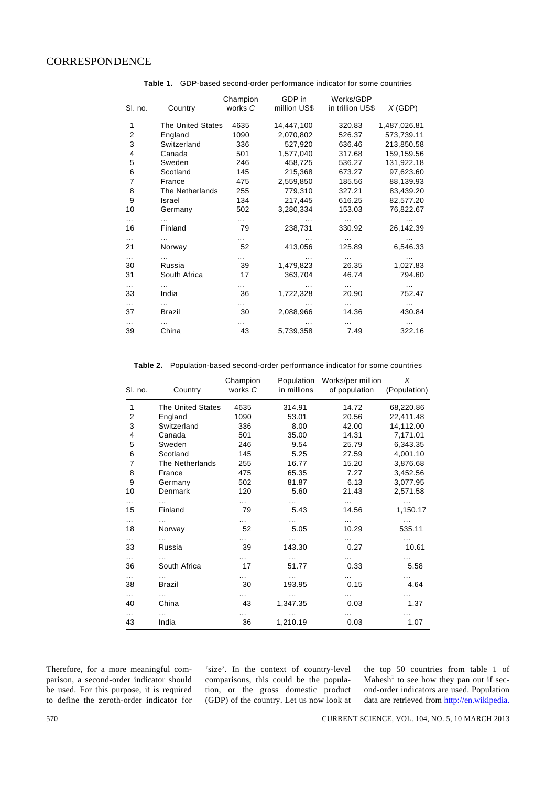| SI. no.        | Country                  | Champion<br>works C | GDP in<br>million US\$ | Works/GDP<br>in trillion US\$ | $X$ (GDP)        |  |  |  |
|----------------|--------------------------|---------------------|------------------------|-------------------------------|------------------|--|--|--|
| 1              | <b>The United States</b> | 4635                | 14,447,100             | 320.83                        | 1,487,026.81     |  |  |  |
| $\overline{2}$ | England                  | 1090                | 2,070,802              | 526.37                        | 573,739.11       |  |  |  |
| 3              | Switzerland              | 336                 | 527,920                | 636.46                        | 213,850.58       |  |  |  |
| 4              | Canada                   | 501                 | 1,577,040              | 317.68                        | 159,159.56       |  |  |  |
| 5              | Sweden                   | 246                 | 458,725                | 536.27                        | 131,922.18       |  |  |  |
| 6              | Scotland                 | 145                 | 215,368                | 673.27                        | 97,623.60        |  |  |  |
| $\overline{7}$ | France                   | 475                 | 2,559,850              | 185.56                        | 88,139.93        |  |  |  |
| 8              | The Netherlands          | 255                 | 779,310                | 327.21                        | 83,439.20        |  |  |  |
| 9              | Israel                   | 134                 | 217,445                | 616.25                        | 82,577.20        |  |  |  |
| 10             | Germany                  | 502                 | 3,280,334              | 153.03                        | 76,822.67        |  |  |  |
| 16             | .<br>Finland             | .<br>79             | 238,731                | $\cdots$<br>330.92            | 26,142.39        |  |  |  |
| .<br>21        | Norway                   | 52                  | 413,056                | .<br>125.89                   | .<br>6,546.33    |  |  |  |
| $\cdots$<br>30 | .<br>Russia              | 39                  | 1,479,823              | 26.35                         | 1,027.83         |  |  |  |
| 31             | South Africa             | 17                  | 363,704                | 46.74                         | 794.60           |  |  |  |
| .<br>33        | India                    | 36                  | 1,722,328              | .<br>20.90                    | 752.47           |  |  |  |
| $\cdots$<br>37 | .<br>Brazil              | 30                  | 2,088,966              | $\cdots$<br>14.36             | $\sim$<br>430.84 |  |  |  |
| .<br>39        | China                    | 43                  | 5,739,358              | 7.49                          | 322.16           |  |  |  |

**Table 1.** GDP-based second-order performance indicator for some countries

**Table 2.** Population-based second-order performance indicator for some countries

| SI. no.        | Country                  | Champion<br>works C | Population<br>in millions | Works/per million<br>of population | X<br>(Population)    |
|----------------|--------------------------|---------------------|---------------------------|------------------------------------|----------------------|
| 1              | <b>The United States</b> | 4635                | 314.91                    | 14.72                              | 68,220.86            |
| $\overline{2}$ | England                  | 1090                | 53.01                     | 20.56                              | 22,411.48            |
| 3              | Switzerland              | 336                 | 8.00                      | 42.00                              | 14,112.00            |
| $\overline{4}$ | Canada                   | 501                 | 35.00                     | 14.31                              | 7,171.01             |
| 5              | Sweden                   | 246                 | 9.54                      | 25.79                              | 6,343.35             |
| 6              | Scotland                 | 145                 | 5.25                      | 27.59                              | 4,001.10             |
| $\overline{7}$ | The Netherlands          | 255                 | 16.77                     | 15.20                              | 3,876.68             |
| 8              | France                   | 475                 | 65.35                     | 7.27                               | 3,452.56             |
| 9              | Germany                  | 502                 | 81.87                     | 6.13                               | 3,077.95             |
| 10             | Denmark                  | 120                 | 5.60                      | 21.43                              | 2,571.58             |
| .<br>15        | .<br>Finland             | <br>79              | .<br>5.43                 | .<br>14.56                         | $\cdots$<br>1,150.17 |
| .<br>18        | $\cdots$<br>Norway       | <br>52              | 5.05                      | 10.29                              | 535.11               |
| .<br>33        | $\cdots$<br>Russia       | 39                  | 143.30                    | 0.27                               | 10.61                |
| .<br>36        | .<br>South Africa        | $\cdots$<br>17      | .<br>51.77                | .<br>0.33                          | .<br>5.58            |
| .<br>38        | .<br><b>Brazil</b>       | $\cdots$<br>30      | .<br>193.95               | 0.15                               | .<br>4.64            |
| .<br>40        | .<br>China               | $\cdots$<br>43      | 1,347.35                  | .<br>0.03                          | 1.37                 |
| $\cdots$<br>43 | India                    | $\cdots$<br>36      | .<br>1,210.19             | 0.03                               | 1.07                 |

Therefore, for a more meaningful comparison, a second-order indicator should be used. For this purpose, it is required to define the zeroth-order indicator for

'size'. In the context of country-level comparisons, this could be the population, or the gross domestic product (GDP) of the country. Let us now look at the top 50 countries from table 1 of Mahesh<sup>1</sup> to see how they pan out if second-order indicators are used. Population data are retrieved from http://en.wikipedia.

570 CURRENT SCIENCE, VOL. 104, NO. 5, 10 MARCH 2013